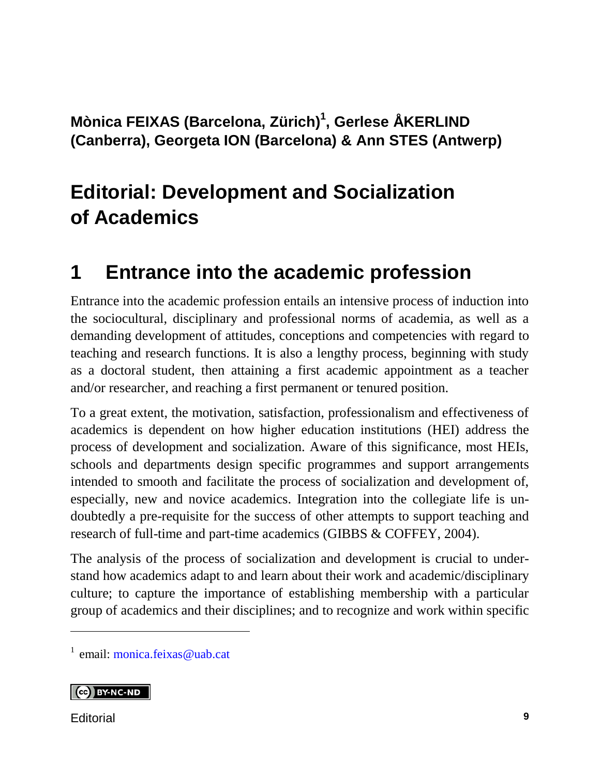### **Mònica FEIXAS (Barcelona, Zürich) 1 , Gerlese ÅKERLIND (Canberra), Georgeta ION (Barcelona) & Ann STES (Antwerp)**

# **Editorial: Development and Socialization of Academics**

## **1 Entrance into the academic profession**

Entrance into the academic profession entails an intensive process of induction into the sociocultural, disciplinary and professional norms of academia, as well as a demanding development of attitudes, conceptions and competencies with regard to teaching and research functions. It is also a lengthy process, beginning with study as a doctoral student, then attaining a first academic appointment as a teacher and/or researcher, and reaching a first permanent or tenured position.

To a great extent, the motivation, satisfaction, professionalism and effectiveness of academics is dependent on how higher education institutions (HEI) address the process of development and socialization. Aware of this significance, most HEIs, schools and departments design specific programmes and support arrangements intended to smooth and facilitate the process of socialization and development of, especially, new and novice academics. Integration into the collegiate life is undoubtedly a pre-requisite for the success of other attempts to support teaching and research of full-time and part-time academics (GIBBS & COFFEY, 2004).

The analysis of the process of socialization and development is crucial to understand how academics adapt to and learn about their work and academic/disciplinary culture; to capture the importance of establishing membership with a particular group of academics and their disciplines; and to recognize and work within specific

<sup>1</sup> email: [monica.feixas@uab.cat](mailto:monica.feixas@uab.cat)

#### **CC** BY-NC-ND

Editorial **9**

l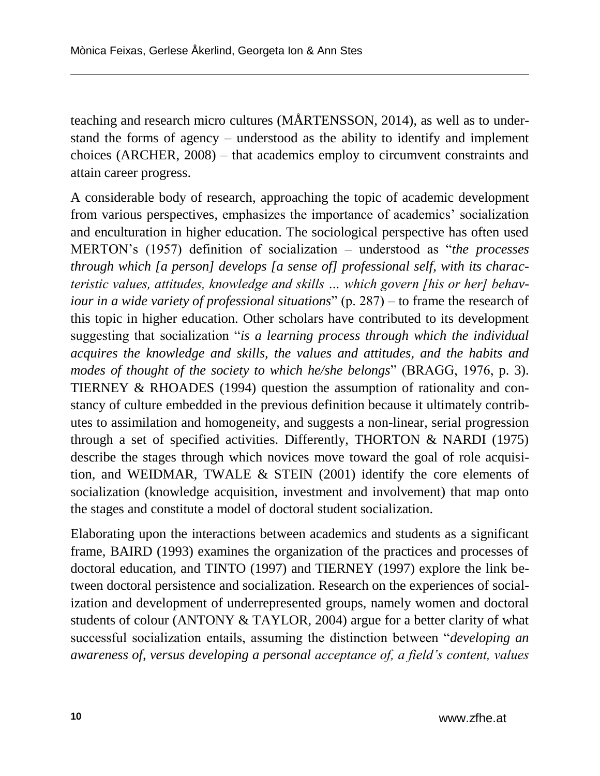teaching and research micro cultures (MÅRTENSSON, 2014), as well as to understand the forms of agency – understood as the ability to identify and implement choices (ARCHER, 2008) – that academics employ to circumvent constraints and attain career progress.

A considerable body of research, approaching the topic of academic development from various perspectives, emphasizes the importance of academics' socialization and enculturation in higher education. The sociological perspective has often used MERTON's (1957) definition of socialization – understood as "*the processes through which [a person] develops [a sense of] professional self, with its characteristic values, attitudes, knowledge and skills … which govern [his or her] behaviour in a wide variety of professional situations*" (p. 287) – to frame the research of this topic in higher education. Other scholars have contributed to its development suggesting that socialization "*is a learning process through which the individual acquires the knowledge and skills, the values and attitudes, and the habits and modes of thought of the society to which he/she belongs*" (BRAGG, 1976, p. 3). TIERNEY & RHOADES (1994) question the assumption of rationality and constancy of culture embedded in the previous definition because it ultimately contributes to assimilation and homogeneity, and suggests a non-linear, serial progression through a set of specified activities. Differently, THORTON & NARDI (1975) describe the stages through which novices move toward the goal of role acquisition, and WEIDMAR, TWALE  $\&$  STEIN (2001) identify the core elements of socialization (knowledge acquisition, investment and involvement) that map onto the stages and constitute a model of doctoral student socialization.

Elaborating upon the interactions between academics and students as a significant frame, BAIRD (1993) examines the organization of the practices and processes of doctoral education, and TINTO (1997) and TIERNEY (1997) explore the link between doctoral persistence and socialization. Research on the experiences of socialization and development of underrepresented groups, namely women and doctoral students of colour (ANTONY & TAYLOR, 2004) argue for a better clarity of what successful socialization entails, assuming the distinction between "*developing an awareness of, versus developing a personal acceptance of, a field's content, values*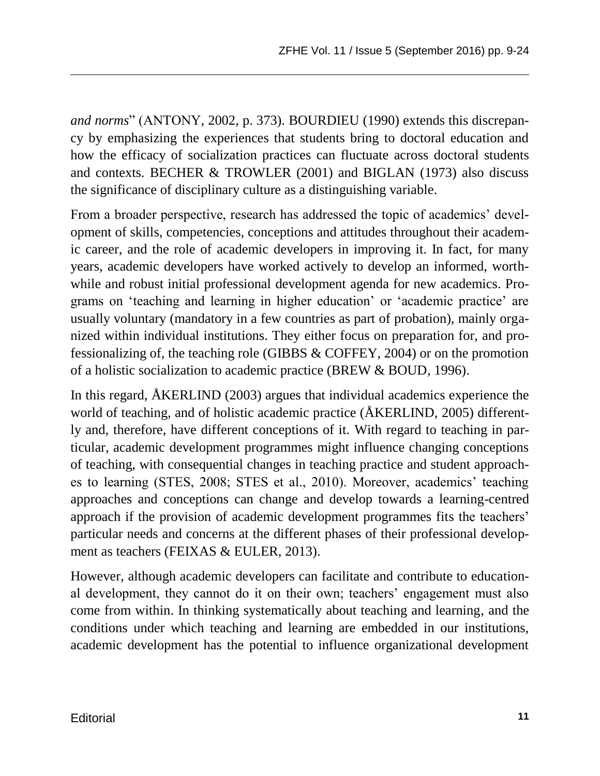*and norms*" (ANTONY, 2002, p. 373). BOURDIEU (1990) extends this discrepancy by emphasizing the experiences that students bring to doctoral education and how the efficacy of socialization practices can fluctuate across doctoral students and contexts. BECHER & TROWLER (2001) and BIGLAN (1973) also discuss the significance of disciplinary culture as a distinguishing variable.

From a broader perspective, research has addressed the topic of academics' development of skills, competencies, conceptions and attitudes throughout their academic career, and the role of academic developers in improving it. In fact, for many years, academic developers have worked actively to develop an informed, worthwhile and robust initial professional development agenda for new academics. Programs on 'teaching and learning in higher education' or 'academic practice' are usually voluntary (mandatory in a few countries as part of probation), mainly organized within individual institutions. They either focus on preparation for, and professionalizing of, the teaching role (GIBBS & COFFEY, 2004) or on the promotion of a holistic socialization to academic practice (BREW & BOUD, 1996).

In this regard, ÅKERLIND (2003) argues that individual academics experience the world of teaching, and of holistic academic practice (ÅKERLIND, 2005) differently and, therefore, have different conceptions of it. With regard to teaching in particular, academic development programmes might influence changing conceptions of teaching, with consequential changes in teaching practice and student approaches to learning (STES, 2008; STES et al., 2010). Moreover, academics' teaching approaches and conceptions can change and develop towards a learning-centred approach if the provision of academic development programmes fits the teachers' particular needs and concerns at the different phases of their professional development as teachers (FEIXAS & EULER, 2013).

However, although academic developers can facilitate and contribute to educational development, they cannot do it on their own; teachers' engagement must also come from within. In thinking systematically about teaching and learning, and the conditions under which teaching and learning are embedded in our institutions, academic development has the potential to influence organizational development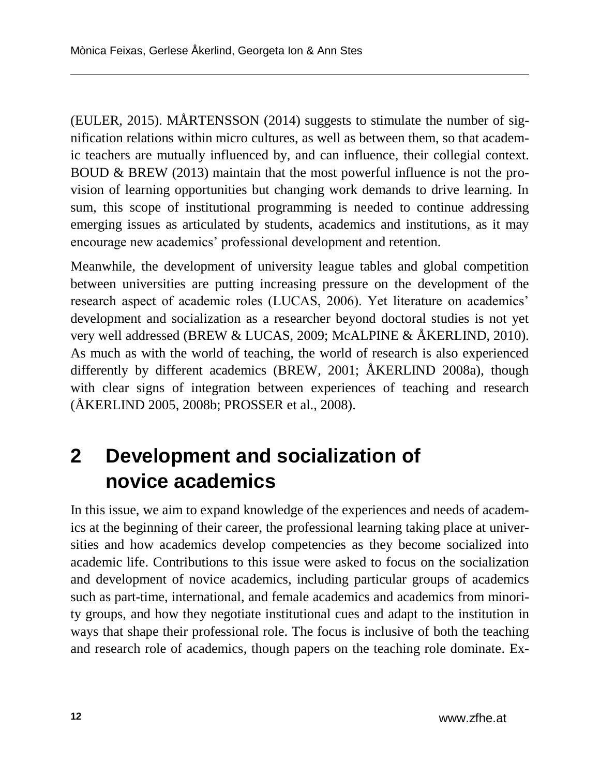(EULER, 2015). MÅRTENSSON (2014) suggests to stimulate the number of signification relations within micro cultures, as well as between them, so that academic teachers are mutually influenced by, and can influence, their collegial context. BOUD & BREW (2013) maintain that the most powerful influence is not the provision of learning opportunities but changing work demands to drive learning. In sum, this scope of institutional programming is needed to continue addressing emerging issues as articulated by students, academics and institutions, as it may encourage new academics' professional development and retention.

Meanwhile, the development of university league tables and global competition between universities are putting increasing pressure on the development of the research aspect of academic roles (LUCAS, 2006). Yet literature on academics' development and socialization as a researcher beyond doctoral studies is not yet very well addressed (BREW & LUCAS, 2009; McALPINE & ÅKERLIND, 2010). As much as with the world of teaching, the world of research is also experienced differently by different academics (BREW, 2001; ÅKERLIND 2008a), though with clear signs of integration between experiences of teaching and research (ÅKERLIND 2005, 2008b; PROSSER et al., 2008).

# **2 Development and socialization of novice academics**

In this issue, we aim to expand knowledge of the experiences and needs of academics at the beginning of their career, the professional learning taking place at universities and how academics develop competencies as they become socialized into academic life. Contributions to this issue were asked to focus on the socialization and development of novice academics, including particular groups of academics such as part-time, international, and female academics and academics from minority groups, and how they negotiate institutional cues and adapt to the institution in ways that shape their professional role. The focus is inclusive of both the teaching and research role of academics, though papers on the teaching role dominate. Ex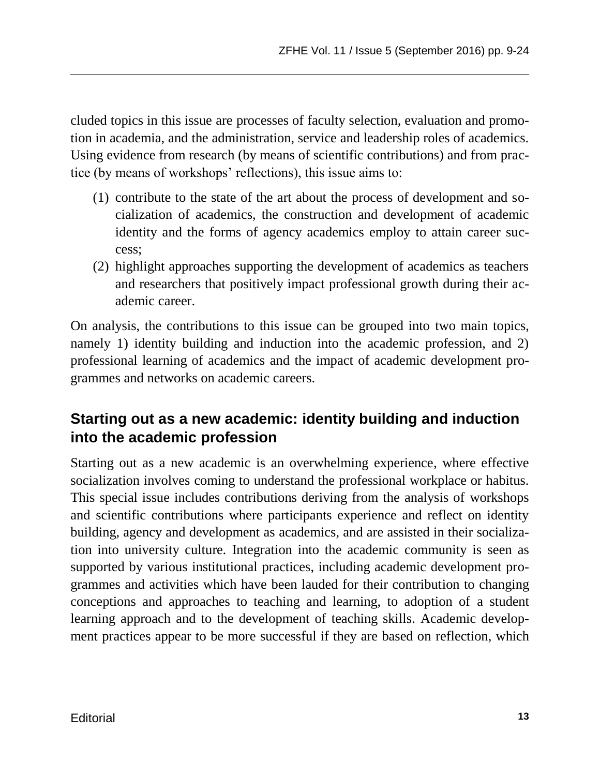cluded topics in this issue are processes of faculty selection, evaluation and promotion in academia, and the administration, service and leadership roles of academics. Using evidence from research (by means of scientific contributions) and from practice (by means of workshops' reflections), this issue aims to:

- (1) contribute to the state of the art about the process of development and socialization of academics, the construction and development of academic identity and the forms of agency academics employ to attain career success;
- (2) highlight approaches supporting the development of academics as teachers and researchers that positively impact professional growth during their academic career.

On analysis, the contributions to this issue can be grouped into two main topics, namely 1) identity building and induction into the academic profession, and 2) professional learning of academics and the impact of academic development programmes and networks on academic careers.

### **Starting out as a new academic: identity building and induction into the academic profession**

Starting out as a new academic is an overwhelming experience, where effective socialization involves coming to understand the professional workplace or habitus. This special issue includes contributions deriving from the analysis of workshops and scientific contributions where participants experience and reflect on identity building, agency and development as academics, and are assisted in their socialization into university culture. Integration into the academic community is seen as supported by various institutional practices, including academic development programmes and activities which have been lauded for their contribution to changing conceptions and approaches to teaching and learning, to adoption of a student learning approach and to the development of teaching skills. Academic development practices appear to be more successful if they are based on reflection, which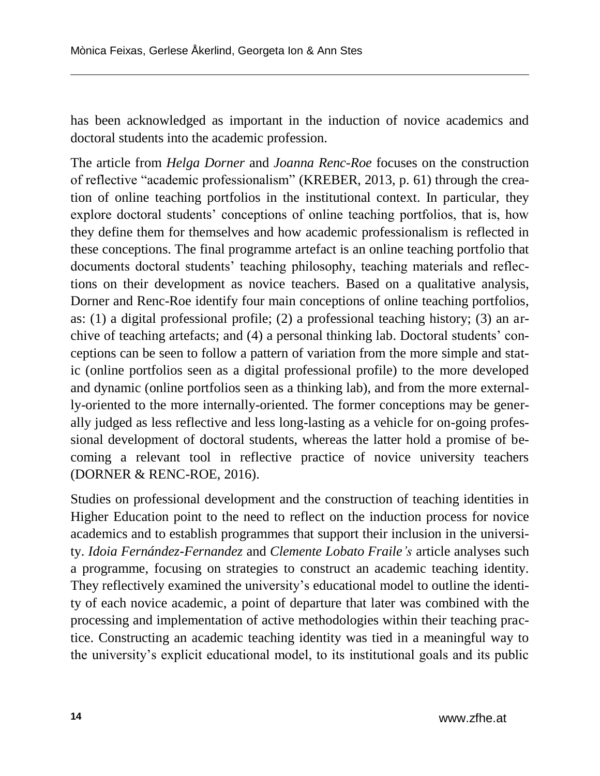has been acknowledged as important in the induction of novice academics and doctoral students into the academic profession.

The article from *Helga Dorner* and *Joanna Renc-Roe* focuses on the construction of reflective "academic professionalism" (KREBER, 2013, p. 61) through the creation of online teaching portfolios in the institutional context. In particular, they explore doctoral students' conceptions of online teaching portfolios, that is, how they define them for themselves and how academic professionalism is reflected in these conceptions. The final programme artefact is an online teaching portfolio that documents doctoral students' teaching philosophy, teaching materials and reflections on their development as novice teachers. Based on a qualitative analysis, Dorner and Renc-Roe identify four main conceptions of online teaching portfolios, as: (1) a digital professional profile; (2) a professional teaching history; (3) an archive of teaching artefacts; and (4) a personal thinking lab. Doctoral students' conceptions can be seen to follow a pattern of variation from the more simple and static (online portfolios seen as a digital professional profile) to the more developed and dynamic (online portfolios seen as a thinking lab), and from the more externally-oriented to the more internally-oriented. The former conceptions may be generally judged as less reflective and less long-lasting as a vehicle for on-going professional development of doctoral students, whereas the latter hold a promise of becoming a relevant tool in reflective practice of novice university teachers (DORNER & RENC-ROE, 2016).

Studies on professional development and the construction of teaching identities in Higher Education point to the need to reflect on the induction process for novice academics and to establish programmes that support their inclusion in the university. *Idoia Fernández-Fernandez* and *Clemente Lobato Fraile's* article analyses such a programme, focusing on strategies to construct an academic teaching identity. They reflectively examined the university's educational model to outline the identity of each novice academic, a point of departure that later was combined with the processing and implementation of active methodologies within their teaching practice. Constructing an academic teaching identity was tied in a meaningful way to the university's explicit educational model, to its institutional goals and its public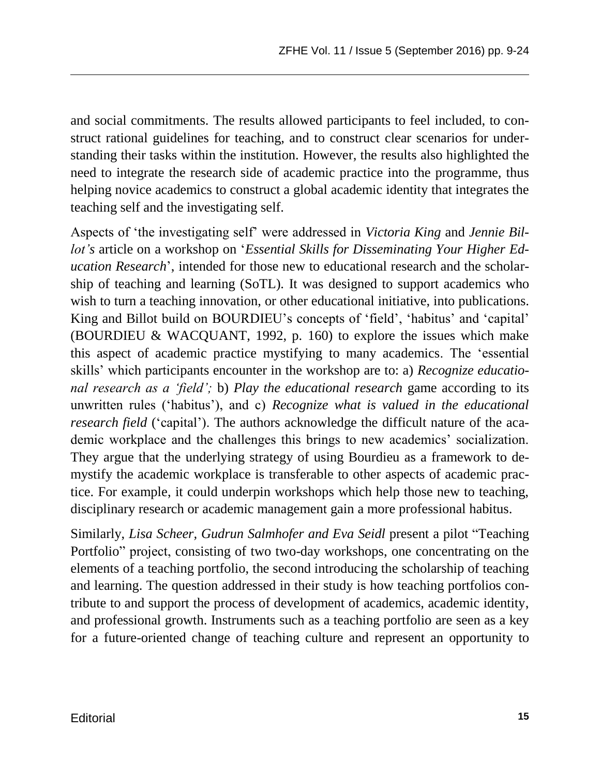and social commitments. The results allowed participants to feel included, to construct rational guidelines for teaching, and to construct clear scenarios for understanding their tasks within the institution. However, the results also highlighted the need to integrate the research side of academic practice into the programme, thus helping novice academics to construct a global academic identity that integrates the teaching self and the investigating self.

Aspects of 'the investigating self' were addressed in *Victoria King* and *Jennie Billot's* article on a workshop on '*Essential Skills for Disseminating Your Higher Education Research*', intended for those new to educational research and the scholarship of teaching and learning (SoTL). It was designed to support academics who wish to turn a teaching innovation, or other educational initiative, into publications. King and Billot build on BOURDIEU's concepts of 'field', 'habitus' and 'capital' (BOURDIEU & WACQUANT, 1992, p. 160) to explore the issues which make this aspect of academic practice mystifying to many academics. The 'essential skills' which participants encounter in the workshop are to: a) *Recognize educational research as a 'field';* b) *Play the educational research* game according to its unwritten rules ('habitus'), and c) *Recognize what is valued in the educational research field* ('capital'). The authors acknowledge the difficult nature of the academic workplace and the challenges this brings to new academics' socialization. They argue that the underlying strategy of using Bourdieu as a framework to demystify the academic workplace is transferable to other aspects of academic practice. For example, it could underpin workshops which help those new to teaching, disciplinary research or academic management gain a more professional habitus.

Similarly, *Lisa Scheer, Gudrun Salmhofer and Eva Seidl* present a pilot "Teaching Portfolio" project, consisting of two two-day workshops, one concentrating on the elements of a teaching portfolio, the second introducing the scholarship of teaching and learning. The question addressed in their study is how teaching portfolios contribute to and support the process of development of academics, academic identity, and professional growth. Instruments such as a teaching portfolio are seen as a key for a future-oriented change of teaching culture and represent an opportunity to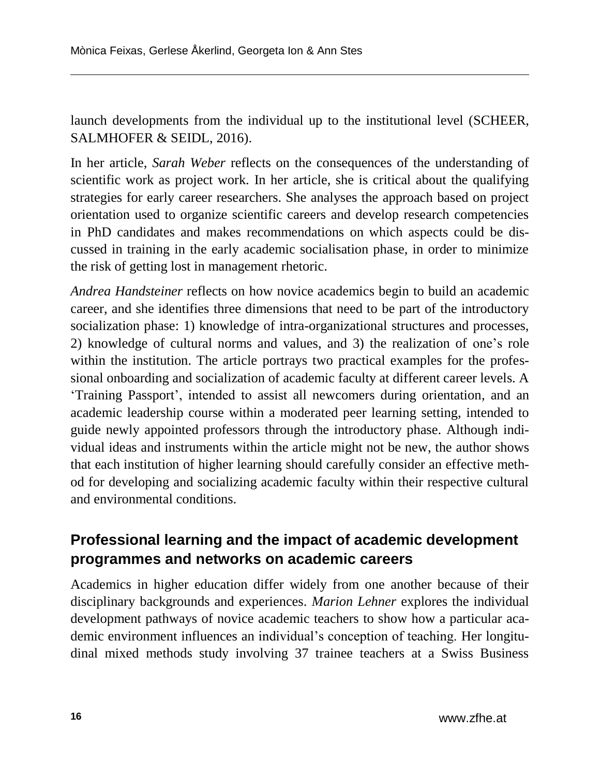launch developments from the individual up to the institutional level (SCHEER, SALMHOFER & SEIDL, 2016).

In her article, *Sarah Weber* reflects on the consequences of the understanding of scientific work as project work. In her article, she is critical about the qualifying strategies for early career researchers. She analyses the approach based on project orientation used to organize scientific careers and develop research competencies in PhD candidates and makes recommendations on which aspects could be discussed in training in the early academic socialisation phase, in order to minimize the risk of getting lost in management rhetoric.

*Andrea Handsteiner* reflects on how novice academics begin to build an academic career, and she identifies three dimensions that need to be part of the introductory socialization phase: 1) knowledge of intra-organizational structures and processes, 2) knowledge of cultural norms and values, and 3) the realization of one's role within the institution. The article portrays two practical examples for the professional onboarding and socialization of academic faculty at different career levels. A 'Training Passport', intended to assist all newcomers during orientation, and an academic leadership course within a moderated peer learning setting, intended to guide newly appointed professors through the introductory phase. Although individual ideas and instruments within the article might not be new, the author shows that each institution of higher learning should carefully consider an effective method for developing and socializing academic faculty within their respective cultural and environmental conditions.

### **Professional learning and the impact of academic development programmes and networks on academic careers**

Academics in higher education differ widely from one another because of their disciplinary backgrounds and experiences. *Marion Lehner* explores the individual development pathways of novice academic teachers to show how a particular academic environment influences an individual's conception of teaching. Her longitudinal mixed methods study involving 37 trainee teachers at a Swiss Business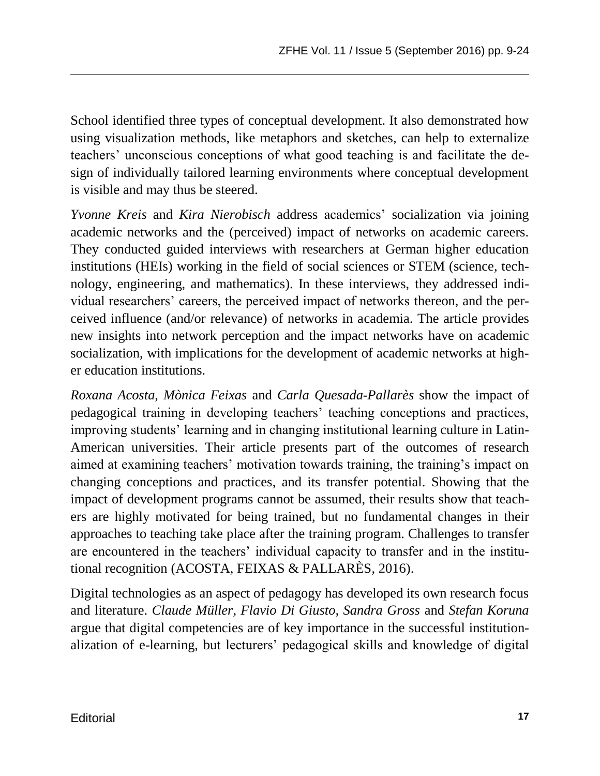School identified three types of conceptual development. It also demonstrated how using visualization methods, like metaphors and sketches, can help to externalize teachers' unconscious conceptions of what good teaching is and facilitate the design of individually tailored learning environments where conceptual development is visible and may thus be steered.

*Yvonne Kreis* and *Kira Nierobisch* address academics' socialization via joining academic networks and the (perceived) impact of networks on academic careers. They conducted guided interviews with researchers at German higher education institutions (HEIs) working in the field of social sciences or STEM (science, technology, engineering, and mathematics). In these interviews, they addressed individual researchers' careers, the perceived impact of networks thereon, and the perceived influence (and/or relevance) of networks in academia. The article provides new insights into network perception and the impact networks have on academic socialization, with implications for the development of academic networks at higher education institutions.

*Roxana Acosta, Mònica Feixas* and *Carla Quesada-Pallarès* show the impact of pedagogical training in developing teachers' teaching conceptions and practices, improving students' learning and in changing institutional learning culture in Latin-American universities. Their article presents part of the outcomes of research aimed at examining teachers' motivation towards training, the training's impact on changing conceptions and practices, and its transfer potential. Showing that the impact of development programs cannot be assumed, their results show that teachers are highly motivated for being trained, but no fundamental changes in their approaches to teaching take place after the training program. Challenges to transfer are encountered in the teachers' individual capacity to transfer and in the institutional recognition (ACOSTA, FEIXAS & PALLARÈS, 2016).

Digital technologies as an aspect of pedagogy has developed its own research focus and literature. *Claude Müller, Flavio Di Giusto, Sandra Gross* and *Stefan Koruna* argue that digital competencies are of key importance in the successful institutionalization of e-learning, but lecturers' pedagogical skills and knowledge of digital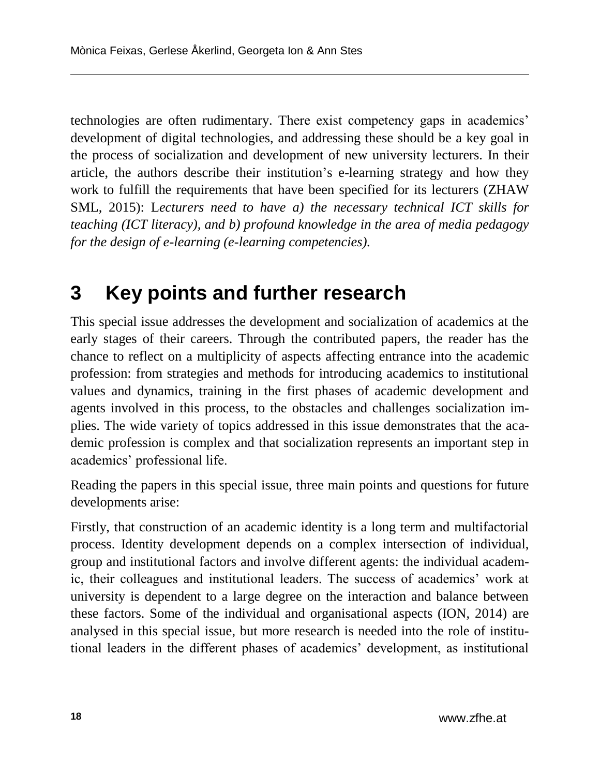technologies are often rudimentary. There exist competency gaps in academics' development of digital technologies, and addressing these should be a key goal in the process of socialization and development of new university lecturers. In their article, the authors describe their institution's e-learning strategy and how they work to fulfill the requirements that have been specified for its lecturers (ZHAW SML, 2015): L*ecturers need to have a) the necessary technical ICT skills for teaching (ICT literacy), and b) profound knowledge in the area of media pedagogy for the design of e-learning (e-learning competencies).*

### **3 Key points and further research**

This special issue addresses the development and socialization of academics at the early stages of their careers. Through the contributed papers, the reader has the chance to reflect on a multiplicity of aspects affecting entrance into the academic profession: from strategies and methods for introducing academics to institutional values and dynamics, training in the first phases of academic development and agents involved in this process, to the obstacles and challenges socialization implies. The wide variety of topics addressed in this issue demonstrates that the academic profession is complex and that socialization represents an important step in academics' professional life.

Reading the papers in this special issue, three main points and questions for future developments arise:

Firstly, that construction of an academic identity is a long term and multifactorial process. Identity development depends on a complex intersection of individual, group and institutional factors and involve different agents: the individual academic, their colleagues and institutional leaders. The success of academics' work at university is dependent to a large degree on the interaction and balance between these factors. Some of the individual and organisational aspects (ION, 2014) are analysed in this special issue, but more research is needed into the role of institutional leaders in the different phases of academics' development, as institutional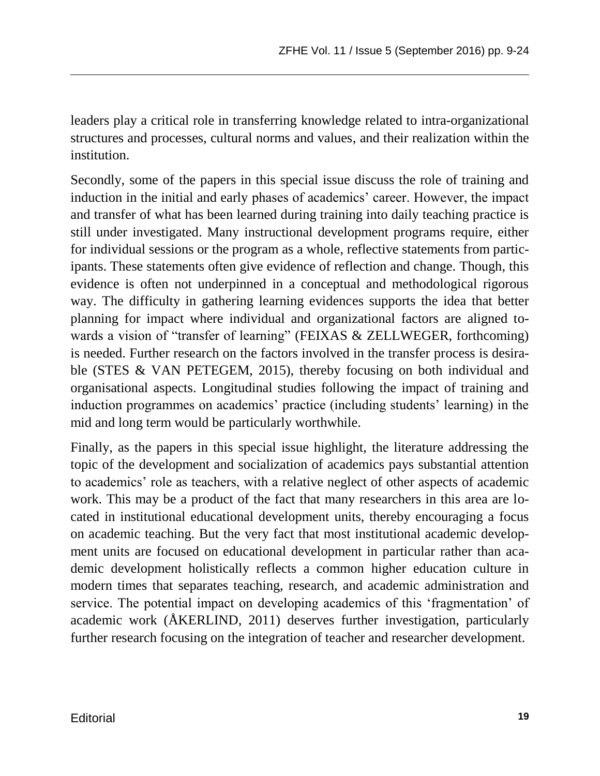leaders play a critical role in transferring knowledge related to intra-organizational structures and processes, cultural norms and values, and their realization within the institution.

Secondly, some of the papers in this special issue discuss the role of training and induction in the initial and early phases of academics' career. However, the impact and transfer of what has been learned during training into daily teaching practice is still under investigated. Many instructional development programs require, either for individual sessions or the program as a whole, reflective statements from participants. These statements often give evidence of reflection and change. Though, this evidence is often not underpinned in a conceptual and methodological rigorous way. The difficulty in gathering learning evidences supports the idea that better planning for impact where individual and organizational factors are aligned towards a vision of "transfer of learning" (FEIXAS & ZELLWEGER, forthcoming) is needed. Further research on the factors involved in the transfer process is desirable (STES & VAN PETEGEM, 2015), thereby focusing on both individual and organisational aspects. Longitudinal studies following the impact of training and induction programmes on academics' practice (including students' learning) in the mid and long term would be particularly worthwhile.

Finally, as the papers in this special issue highlight, the literature addressing the topic of the development and socialization of academics pays substantial attention to academics' role as teachers, with a relative neglect of other aspects of academic work. This may be a product of the fact that many researchers in this area are located in institutional educational development units, thereby encouraging a focus on academic teaching. But the very fact that most institutional academic development units are focused on educational development in particular rather than academic development holistically reflects a common higher education culture in modern times that separates teaching, research, and academic administration and service. The potential impact on developing academics of this 'fragmentation' of academic work (ÅKERLIND, 2011) deserves further investigation, particularly further research focusing on the integration of teacher and researcher development.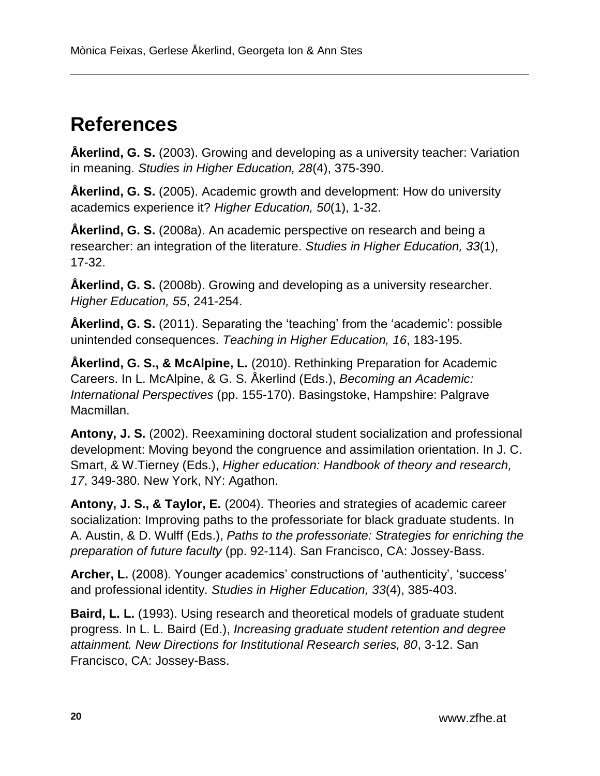## **References**

**Åkerlind, G. S.** (2003). Growing and developing as a university teacher: Variation in meaning. *Studies in Higher Education, 28*(4), 375-390.

**Åkerlind, G. S.** (2005). Academic growth and development: How do university academics experience it? *Higher Education, 50*(1), 1-32.

**Åkerlind, G. S.** (2008a). An academic perspective on research and being a researcher: an integration of the literature. *Studies in Higher Education, 33*(1), 17-32.

**Åkerlind, G. S.** (2008b). Growing and developing as a university researcher. *Higher Education, 55*, 241-254.

**Åkerlind, G. S.** (2011). Separating the 'teaching' from the 'academic': possible unintended consequences. *Teaching in Higher Education, 16*, 183-195.

**Åkerlind, G. S., & McAlpine, L.** (2010). Rethinking Preparation for Academic Careers. In L. McAlpine, & G. S. Åkerlind (Eds.), *Becoming an Academic: International Perspectives* (pp. 155-170). Basingstoke, Hampshire: Palgrave Macmillan.

**Antony, J. S.** (2002). Reexamining doctoral student socialization and professional development: Moving beyond the congruence and assimilation orientation. In J. C. Smart, & W.Tierney (Eds.), *Higher education: Handbook of theory and research, 17*, 349-380. New York, NY: Agathon.

**Antony, J. S., & Taylor, E.** (2004). Theories and strategies of academic career socialization: Improving paths to the professoriate for black graduate students. In A. Austin, & D. Wulff (Eds.), *Paths to the professoriate: Strategies for enriching the preparation of future faculty* (pp. 92-114). San Francisco, CA: Jossey-Bass.

**Archer, L.** (2008). Younger academics' constructions of 'authenticity', 'success' and professional identity. *Studies in Higher Education, 33*(4), 385-403.

**Baird, L. L.** (1993). Using research and theoretical models of graduate student progress. In L. L. Baird (Ed.), *Increasing graduate student retention and degree attainment. New Directions for Institutional Research series, 80*, 3-12. San Francisco, CA: Jossey-Bass.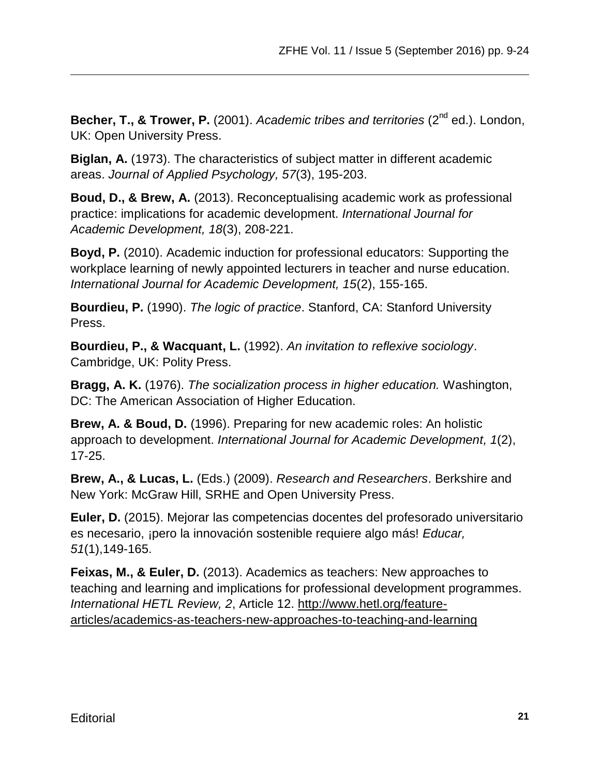Becher, T., & Trower, P. (2001). *Academic tribes and territories* (2<sup>nd</sup> ed.). London, UK: Open University Press.

**Biglan, A.** (1973). The characteristics of subject matter in different academic areas. *Journal of Applied Psychology, 57*(3), 195-203.

**Boud, D., & Brew, A.** (2013). Reconceptualising academic work as professional practice: implications for academic development. *International Journal for Academic Development, 18*(3), 208-221.

**Boyd, P.** (2010). Academic induction for professional educators: Supporting the workplace learning of newly appointed lecturers in teacher and nurse education. *International Journal for Academic Development, 15*(2), 155-165.

**Bourdieu, P.** (1990). *The logic of practice*. Stanford, CA: Stanford University Press.

**Bourdieu, P., & Wacquant, L.** (1992). *An invitation to reflexive sociology*. Cambridge, UK: Polity Press.

**Bragg, A. K.** (1976). *The socialization process in higher education.* Washington, DC: The American Association of Higher Education.

**Brew, A. & Boud, D.** (1996). Preparing for new academic roles: An holistic approach to development. *International Journal for Academic Development, 1*(2), 17-25.

**Brew, A., & Lucas, L.** (Eds.) (2009). *Research and Researchers*. Berkshire and New York: McGraw Hill, SRHE and Open University Press.

**Euler, D.** (2015). Mejorar las competencias docentes del profesorado universitario es necesario, ¡pero la innovación sostenible requiere algo más! *Educar, 51*(1),149-165.

**Feixas, M., & Euler, D.** (2013). Academics as teachers: New approaches to teaching and learning and implications for professional development programmes. *International HETL Review, 2*, Article 12. [http://www.hetl.org/feature](http://www.hetl.org/feature-articles/academics-as-teachers-new-approaches-to-teaching-and-learning)[articles/academics-as-teachers-new-approaches-to-teaching-and-learning](http://www.hetl.org/feature-articles/academics-as-teachers-new-approaches-to-teaching-and-learning)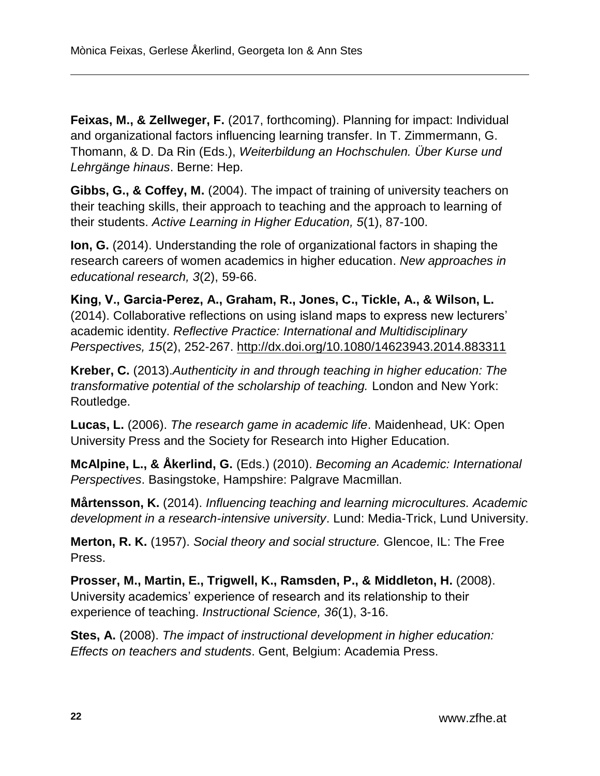**Feixas, M., & Zellweger, F.** (2017, forthcoming). Planning for impact: Individual and organizational factors influencing learning transfer. In T. Zimmermann, G. Thomann, & D. Da Rin (Eds.), *Weiterbildung an Hochschulen. Über Kurse und Lehrgänge hinaus*. Berne: Hep.

**Gibbs, G., & Coffey, M.** (2004). The impact of training of university teachers on their teaching skills, their approach to teaching and the approach to learning of their students. *Active Learning in Higher Education, 5*(1), 87-100.

**Ion, G.** (2014). Understanding the role of organizational factors in shaping the research careers of women academics in higher education. *New approaches in educational research, 3*(2), 59-66.

**King, V., Garcia-Perez, A., Graham, R., Jones, C., Tickle, A., & Wilson, L.** (2014). Collaborative reflections on using island maps to express new lecturers' academic identity. *Reflective Practice: International and Multidisciplinary Perspectives, 15*(2), 252-267.<http://dx.doi.org/10.1080/14623943.2014.883311>

**Kreber, C.** (2013).*Authenticity in and through teaching in higher education: The transformative potential of the scholarship of teaching.* London and New York: Routledge.

**Lucas, L.** (2006). *The research game in academic life*. Maidenhead, UK: Open University Press and the Society for Research into Higher Education.

**McAlpine, L., & Åkerlind, G.** (Eds.) (2010). *Becoming an Academic: International Perspectives*. Basingstoke, Hampshire: Palgrave Macmillan.

**Mårtensson, K.** (2014). *Influencing teaching and learning microcultures. Academic development in a research-intensive university*. Lund: Media-Trick, Lund University.

**Merton, R. K.** (1957). *Social theory and social structure.* Glencoe, IL: The Free Press.

**Prosser, M., Martin, E., Trigwell, K., Ramsden, P., & Middleton, H.** (2008). University academics' experience of research and its relationship to their experience of teaching. *Instructional Science, 36*(1), 3-16.

**Stes, A.** (2008). *The impact of instructional development in higher education: Effects on teachers and students*. Gent, Belgium: Academia Press.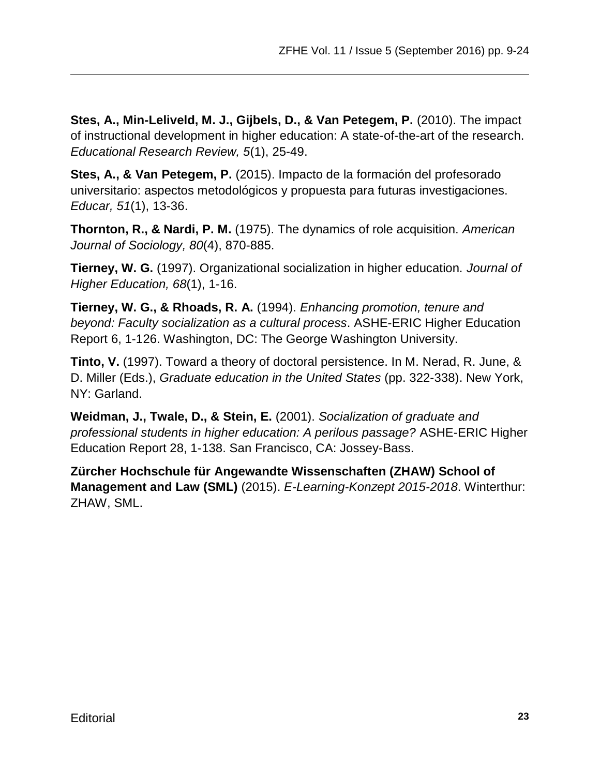**Stes, A., Min-Leliveld, M. J., Gijbels, D., & Van Petegem, P.** (2010). The impact of instructional development in higher education: A state-of-the-art of the research. *Educational Research Review, 5*(1), 25-49.

**Stes, A., & Van Petegem, P.** (2015). Impacto de la formación del profesorado universitario: aspectos metodológicos y propuesta para futuras investigaciones. *Educar, 51*(1), 13-36.

**Thornton, R., & Nardi, P. M.** (1975). The dynamics of role acquisition. *American Journal of Sociology, 80*(4), 870-885.

**Tierney, W. G.** (1997). Organizational socialization in higher education. *Journal of Higher Education, 68*(1), 1-16.

**Tierney, W. G., & Rhoads, R. A.** (1994). *Enhancing promotion, tenure and beyond: Faculty socialization as a cultural process*. ASHE-ERIC Higher Education Report 6, 1-126. Washington, DC: The George Washington University.

**Tinto, V.** (1997). Toward a theory of doctoral persistence. In M. Nerad, R. June, & D. Miller (Eds.), *Graduate education in the United States* (pp. 322-338). New York, NY: Garland.

**Weidman, J., Twale, D., & Stein, E.** (2001). *Socialization of graduate and professional students in higher education: A perilous passage?* ASHE-ERIC Higher Education Report 28, 1-138. San Francisco, CA: Jossey-Bass.

**Zürcher Hochschule für Angewandte Wissenschaften (ZHAW) School of Management and Law (SML)** (2015). *E-Learning-Konzept 2015-2018*. Winterthur: ZHAW, SML.